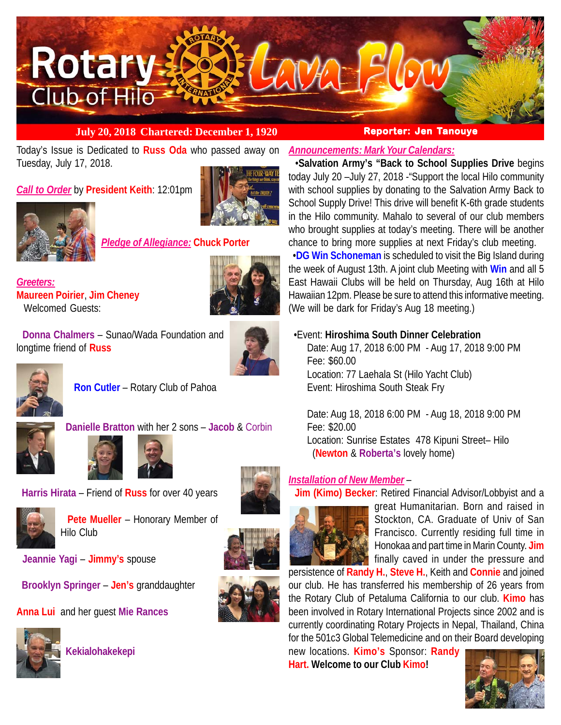

## **July 20, 2018 Chartered: December 1, 1920 Reporter: Jen Tanouye**

Today's Issue is Dedicated to **Russ Oda** who passed away on Tuesday, July 17, 2018.

*Call to Order* by **President Keith**: 12:01pm



*Pledge of Allegiance:* **Chuck Porter**

*Greeters:* **Maureen Poirier**, **Jim Cheney** Welcomed Guests:



 **Donna Chalmers** – Sunao/Wada Foundation and longtime friend of **Russ**





 **Ron Cutler** – Rotary Club of Pahoa





**Harris Hirata** – Friend of **Russ** for over 40 years



 **Pete Mueller** – Honorary Member of Hilo Club

 **Jeannie Yagi** – **Jimmy's** spouse

**Brooklyn Springer** – **Jen's** granddaughter

**Anna Lui** and her guest **Mie Rances**



**Kekialohakekepi**







*Announcements: Mark Your Calendars:*

 •**Salvation Army's "Back to School Supplies Drive** begins today July 20 –July 27, 2018 -"Support the local Hilo community with school supplies by donating to the Salvation Army Back to School Supply Drive! This drive will benefit K-6th grade students in the Hilo community. Mahalo to several of our club members who brought supplies at today's meeting. There will be another chance to bring more supplies at next Friday's club meeting.

 •**DG Win Schoneman** is scheduled to visit the Big Island during the week of August 13th. A joint club Meeting with **Win** and all 5 East Hawaii Clubs will be held on Thursday, Aug 16th at Hilo Hawaiian 12pm. Please be sure to attend this informative meeting. (We will be dark for Friday's Aug 18 meeting.)

## •Event: **Hiroshima South Dinner Celebration**

Date: Aug 17, 2018 6:00 PM - Aug 17, 2018 9:00 PM Fee: \$60.00 Location: 77 Laehala St (Hilo Yacht Club) Event: Hiroshima South Steak Fry

Date: Aug 18, 2018 6:00 PM - Aug 18, 2018 9:00 PM Fee: \$20.00 Location: Sunrise Estates 478 Kipuni Street– Hilo (**Newton** & **Roberta's** lovely home)

# *Installation of New Member* –

**Jim (Kimo) Becker**: Retired Financial Advisor/Lobbyist and a



great Humanitarian. Born and raised in Stockton, CA. Graduate of Univ of San Francisco. Currently residing full time in Honokaa and part time in Marin County. **Jim** finally caved in under the pressure and

persistence of **Randy H.**, **Steve H.**, Keith and **Connie** and joined our club. He has transferred his membership of 26 years from the Rotary Club of Petaluma California to our club. **Kimo** has been involved in Rotary International Projects since 2002 and is currently coordinating Rotary Projects in Nepal, Thailand, China for the 501c3 Global Telemedicine and on their Board developing

new locations. **Kimo's** Sponsor: **Randy Hart. Welcome to our Club Kimo!**

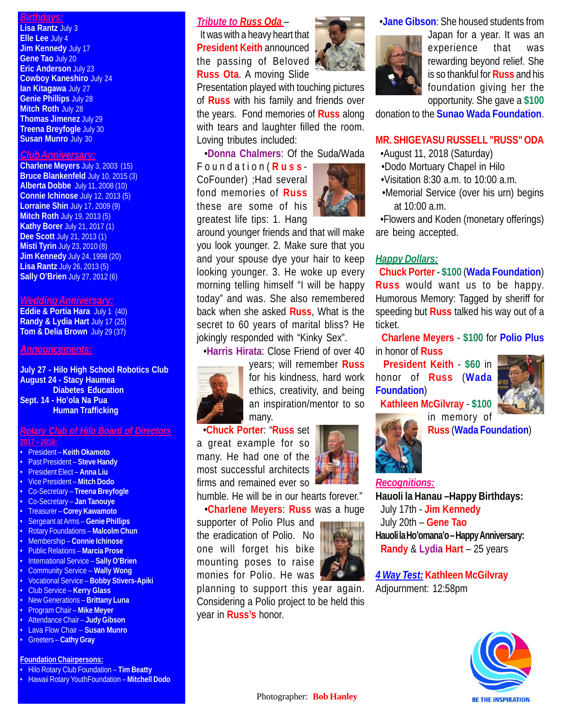## *Birthdays:*

**Lisa Rantz** July 3 **Elle Lee** July 4 **Jim Kennedy** July 17 **Gene Tao** July 20 **Eric Anderson** July 23 **Cowboy Kaneshiro** July 24 **Ian Kitagawa** July 27 **Genie Phillips** July 28 **Mitch Roth July 28 Thomas Jimenez** July 29 **Treena Breyfogle** July 30 **Susan Munro** July 30

#### *Club Anniversary:*

**Charlene Meyers** July 3, 2003 (15) **Bruce Blankenfeld** July 10, 2015 (3) **Alberta Dobbe** July 11, 2008 (10) **Connie Ichinose** July 12, 2013 (5) **Lorraine Shin** July 17, 2009 (9) **Mitch Roth** July 19, 2013 (5) **Kathy Borer** July 21, 2017 (1) **Dee Scott** July 21, 2013 (1) **Misti Tyrin** July 23, 2010 (8) **Jim Kennedy** July 24, 1998 (20) **Lisa Rantz** July 26, 2013 (5) **Sally O'Brien** July 27, 2012 (6)

#### *Wedding Anniversary:*

**Eddie & Portia Hara** July 1 (40) **Randy & Lydia Hart** July 17 (25) **Tom & Delia Brown** July 29 (37)

#### *Announcements:*

**July 27 - Hilo High School Robotics Club August 24 - Stacy Haumea Diabetes Education Sept. 14 - Ho'ola Na Pua Human Trafficking**

#### *Rotary Club of Hilo Board of Directors* **2017 – 2018:**

• President – **Keith Okamoto**

- Past President **Steve Handy** • President Elect – **Anna Liu** • Vice President – **Mitch Dodo** • Co-Secretary – **Treena Breyfogle** • Co-Secretary – **Jan Tanouye** • Treasurer – **Corey Kawamoto** • Sergeant at Arms – **Genie Phillips** • Rotary Foundations – **Malcolm Chun** • Membership – **Connie Ichinose** • Public Relations – **Marcia Prose** • International Service – **Sally O'Brien** • Community Service – **Wally Wong** • Vocational Service – **Bobby Stivers-Apiki** • Club Service – **Kerry Glass** • New Generations – **Brittany Luna** • Program Chair – **Mike Meyer**
- Attendance Chair **Judy Gibson**
- Lava Flow Chair **Susan Munro**
- Greeters **Cathy Gray**

#### **Foundation Chairpersons:**

- Hilo Rotary Club Foundation **Tim Beatty**
- Hawaii Rotary YouthFoundation **Mitchell Dodo**

#### *Tribute to Russ Oda* –

 It was with a heavy heart that **President Keith** announced the passing of Beloved **Russ Ota**. A moving Slide

Presentation played with touching pictures of **Russ** with his family and friends over the years. Fond memories of **Russ** along with tears and laughter filled the room. Loving tributes included:

•**Donna Chalmers**: Of the Suda/Wada

Foundation( **Russ** - CoFounder) ;Had several fond memories of **Russ** these are some of his greatest life tips: 1. Hang



around younger friends and that will make you look younger. 2. Make sure that you and your spouse dye your hair to keep looking younger. 3. He woke up every morning telling himself "I will be happy today" and was. She also remembered back when she asked **Russ**, What is the secret to 60 years of marital bliss? He jokingly responded with "Kinky Sex".

•**Harris Hirata**: Close Friend of over 40



years; will remember **Russ** for his kindness, hard work ethics, creativity, and being an inspiration/mentor to so many.

 •**Chuck Porter**: "**Russ** set a great example for so many. He had one of the most successful architects

firms and remained ever so humble. He will be in our hearts forever."

•**Charlene Meyers**: **Russ** was a huge

supporter of Polio Plus and the eradication of Polio. No one will forget his bike mounting poses to raise monies for Polio. He was

planning to support this year again. Considering a Polio project to be held this year in **Russ's** honor.





Japan for a year. It was an experience that was rewarding beyond relief. She is so thankful for **Russ** and his foundation giving her the opportunity. She gave a **\$100**

donation to the **Sunao Wada Foundation**.

#### **MR. SHIGEYASU RUSSELL "RUSS" ODA**

•August 11, 2018 (Saturday)

- •Dodo Mortuary Chapel in Hilo
- •Visitation 8:30 a.m. to 10:00 a.m.
- •Memorial Service (over his urn) begins at 10:00 a.m.

 •Flowers and Koden (monetary offerings) are being accepted.

### *Happy Dollars:*

 **Chuck Porter** - **\$100** (**Wada Foundation**) **Russ** would want us to be happy. Humorous Memory: Tagged by sheriff for speeding but **Russ** talked his way out of a ticket.

 **Charlene Meyers** - **\$100** for **Polio Plus** in honor of **Russ**

 **President Keith** - **\$60** in honor of **Russ** (**Wada Foundation**)



**Kathleen McGilvray** - **\$100**



in memory of **Russ** (**Wada Foundation**)

#### *Recognitions:*

**Hauoli la Hanau –Happy Birthdays:** July 17th - **Jim Kennedy** July 20th – **Gene Tao Hauoli la Ho'omana'o – Happy Anniversary: Randy** & **Lydia Hart** – 25 years

*4 Way Test:* **Kathleen McGilvray** Adjournment: 12:58pm